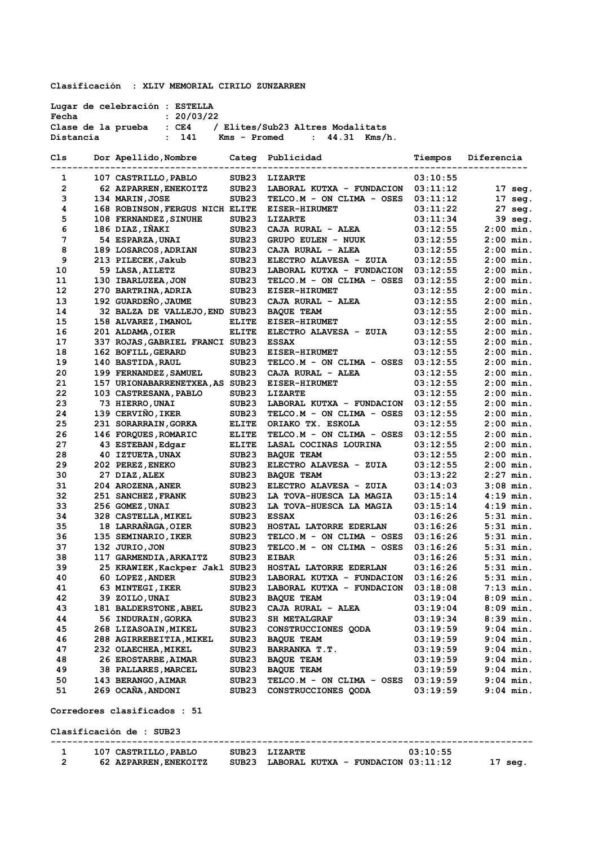**Clasificación : XLIV MEMORIAL CIRILO ZUNZARREN** 

**Lugar de celebración : ESTELLA Fecha : 20/03/22 Clase de la prueba : CE4 / Elites/Sub23 Altres Modalitats Distancia : 141 Kms - Promed : 44.31 Kms/h.**

| Cls | Dor Apellido, Nombre            |                   | Categ Publicidad          | Tiempos  | Diferencia        |
|-----|---------------------------------|-------------------|---------------------------|----------|-------------------|
| 1   | 107 CASTRILLO, PABLO            | SUB <sub>23</sub> | LIZARTE                   | 03:10:55 |                   |
| 2   | 62 AZPARREN, ENEKOITZ           | SUB <sub>23</sub> | LABORAL KUTXA - FUNDACION | 03:11:12 | 17 seg.           |
| з   | 134 MARIN, JOSE                 | SUB <sub>23</sub> | TELCO.M - ON CLIMA - OSES | 03:11:12 | $17 \text{ seg.}$ |
| 4   | 168 ROBINSON, FERGUS NICH ELITE |                   | <b>EISER-HIRUMET</b>      | 03:11:22 | 27 seg.           |
| 5   | 108 FERNANDEZ, SINUHE           | SUB23             | <b>LIZARTE</b>            | 03:11:34 | 39 seg.           |
| 6   | 186 DIAZ, IÑAKI                 | SUB <sub>23</sub> | CAJA RURAL - ALEA         | 03:12:55 | $2:00$ min.       |
| 7   | 54 ESPARZA, UNAI                | SUB <sub>23</sub> | <b>GRUPO EULEN - NUUK</b> | 03:12:55 | $2:00$ min.       |
| 8   | 189 LOSARCOS, ADRIAN            | SUB <sub>23</sub> | CAJA RURAL - ALEA         | 03:12:55 | $2:00$ min.       |
| 9   | 213 PILECEK, Jakub              | SUB <sub>23</sub> | ELECTRO ALAVESA - ZUIA    | 03:12:55 | $2:00$ min.       |
| 10  | 59 LASA, AILETZ                 | SUB <sub>23</sub> | LABORAL KUTXA - FUNDACION | 03:12:55 | $2:00$ min.       |
| 11  | 130 IBARLUZEA, JON              | SUB <sub>23</sub> | TELCO.M - ON CLIMA - OSES | 03:12:55 | $2:00$ min.       |
| 12  | 270 BARTRINA, ADRIA             | SUB <sub>23</sub> | <b>EISER-HIRUMET</b>      | 03:12:55 | $2:00$ min.       |
| 13  | 192 GUARDEÑO, JAUME             | SUB <sub>23</sub> | CAJA RURAL - ALEA         | 03:12:55 | $2:00$ min.       |
| 14  | 32 BALZA DE VALLEJO, END SUB23  |                   | <b>BAQUE TEAM</b>         | 03:12:55 | $2:00$ min.       |
| 15  | 158 ALVAREZ, IMANOL             | ELITE             | <b>EISER-HIRUMET</b>      | 03:12:55 | $2:00$ min.       |
| 16  | 201 ALDAMA, OIER                | <b>ELITE</b>      | ELECTRO ALAVESA - ZUIA    | 03:12:55 | $2:00$ min.       |
| 17  | 337 ROJAS, GABRIEL FRANCI SUB23 |                   | <b>ESSAX</b>              | 03:12:55 | $2:00$ min.       |
| 18  | 162 BOFILL, GERARD              | SUB <sub>23</sub> | <b>EISER-HIRUMET</b>      | 03:12:55 | $2:00$ min.       |
| 19  | 140 BASTIDA, RAUL               | SUB <sub>23</sub> | TELCO.M - ON CLIMA - OSES | 03:12:55 | $2:00$ min.       |
| 20  | 199 FERNANDEZ, SAMUEL           | SUB <sub>23</sub> | CAJA RURAL - ALEA         | 03:12:55 | $2:00$ min.       |
| 21  | 157 URIONABARRENETXEA, AS SUB23 |                   | <b>EISER-HIRUMET</b>      | 03:12:55 | $2:00$ min.       |
| 22  | 103 CASTRESANA, PABLO           | SUB23             | <b>LIZARTE</b>            | 03:12:55 | $2:00$ min.       |
| 23  | 73 HIERRO, UNAI                 | SUB <sub>23</sub> | LABORAL KUTXA - FUNDACION | 03:12:55 | $2:00$ min.       |
| 24  | 139 CERVIÑO, IKER               | SUB <sub>23</sub> | TELCO.M - ON CLIMA - OSES | 03:12:55 | $2:00$ min.       |
| 25  | 231 SORARRAIN, GORKA            | ELITE             | ORIAKO TX. ESKOLA         | 03:12:55 | $2:00$ min.       |
| 26  | 146 FORQUES, ROMARIC            | <b>ELITE</b>      | TELCO.M - ON CLIMA - OSES | 03:12:55 | $2:00$ min.       |
| 27  | 43 ESTEBAN, Edgar               | ELITE             | LASAL COCINAS LOURINA     | 03:12:55 | $2:00$ min.       |
| 28  | 40 IZTUETA, UNAX                | SUB23             | <b>BAQUE TEAM</b>         | 03:12:55 | $2:00$ min.       |
| 29  | 202 PEREZ, ENEKO                | SUB <sub>23</sub> | ELECTRO ALAVESA - ZUIA    | 03:12:55 | $2:00$ min.       |
| 30  | 27 DIAZ, ALEX                   | SUB <sub>23</sub> | <b>BAQUE TEAM</b>         | 03:13:22 | $2:27$ min.       |
| 31  | 204 AROZENA, ANER               | SUB <sub>23</sub> | ELECTRO ALAVESA - ZUIA    | 03:14:03 | $3:08$ min.       |
| 32  | 251 SANCHEZ, FRANK              | SUB <sub>23</sub> | LA TOVA-HUESCA LA MAGIA   | 03:15:14 | $4:19$ min.       |
| 33  | 256 GOMEZ, UNAI                 | SUB <sub>23</sub> | LA TOVA-HUESCA LA MAGIA   | 03:15:14 | $4:19$ min.       |
| 34  | 328 CASTELLA, MIKEL             | SUB23             | <b>ESSAX</b>              | 03:16:26 | $5:31$ min.       |
| 35  | 18 LARRAÑAGA, OIER              | SUB23             | HOSTAL LATORRE EDERLAN    | 03:16:26 | $5:31$ min.       |
| 36  | 135 SEMINARIO, IKER             | SUB <sub>23</sub> | TELCO.M - ON CLIMA - OSES | 03:16:26 | $5:31$ min.       |
| 37  | 132 JURIO, JON                  | SUB <sub>23</sub> | TELCO.M - ON CLIMA - OSES | 03:16:26 | $5:31$ min.       |
| 38  | 117 GARMENDIA, ARKAITZ          | SUB23             | <b>EIBAR</b>              | 03:16:26 | $5:31$ min.       |
| 39  | 25 KRAWIEK, Kackper Jakl SUB23  |                   | HOSTAL LATORRE EDERLAN    | 03:16:26 | $5:31$ min.       |
| 40  | 60 LOPEZ, ANDER                 | SUB <sub>23</sub> | LABORAL KUTXA - FUNDACION | 03:16:26 | $5:31$ min.       |
| 41  | 63 MINTEGI, IKER                | SUB <sub>23</sub> | LABORAL KUTXA - FUNDACION | 03:18:08 | $7:13$ min.       |
| 42  | 39 ZOILO, UNAI                  | SUB23             | <b>BAQUE TEAM</b>         | 03:19:04 | $8:09$ min.       |
| 43  | 181 BALDERSTONE, ABEL           | SUB <sub>23</sub> | CAJA RURAL - ALEA         | 03:19:04 | $8:09$ min.       |
| 44  | 56 INDURAIN, GORKA              | SUB23             | <b>SH METALGRAF</b>       | 03:19:34 | $8:39$ min.       |
| 45  | 268 LIZASOAIN, MIKEL            | SUB23             | CONSTRUCCIONES QODA       | 03:19:59 | $9:04$ min.       |
| 46  | 288 AGIRREBEITIA, MIKEL         | SUB23             | <b>BAQUE TEAM</b>         | 03:19:59 | $9:04$ min.       |
| 47  | 232 OLAECHEA, MIKEL             | SUB23             | BARRANKA T.T.             | 03:19:59 | $9:04$ min.       |
| 48  | 26 EROSTARBE, AIMAR             | SUB23             | <b>BAQUE TEAM</b>         | 03:19:59 | $9:04$ min.       |
| 49  | <b>38 PALLARES, MARCEL</b>      | SUB23             | <b>BAQUE TEAM</b>         | 03:19:59 | $9:04$ min.       |
| 50  | 143 BERANGO, AIMAR              | SUB23             | TELCO.M - ON CLIMA - OSES | 03:19:59 | $9:04$ min.       |
| 51  | 269 OCAÑA, ANDONI               | SUB <sub>23</sub> | CONSTRUCCIONES QODA       | 03:19:59 | $9:04$ min.       |
|     |                                 |                   |                           |          |                   |

**Corredores clasificados : 51**

**Clasificación de : SUB23** 

| 107 CASTRILLO, PABLO  | 03:10:55<br>SUB23 LIZARTE                    |         |
|-----------------------|----------------------------------------------|---------|
| 62 AZPARREN, ENEKOITZ | $SUB23$ LABORAL KUTXA - FUNDACION $03:11:12$ | 17 seq. |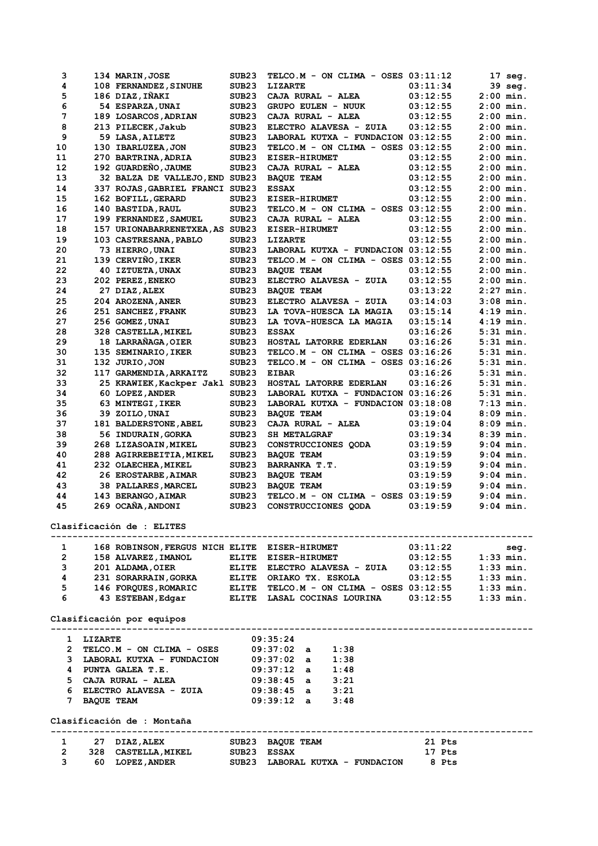| з                          |              | 134 MARIN, JOSE                               | SUB <sub>23</sub>  | TELCO.M - ON CLIMA - OSES 03:11:12                               |          | 17 seg.              |  |
|----------------------------|--------------|-----------------------------------------------|--------------------|------------------------------------------------------------------|----------|----------------------|--|
| 4                          |              | 108 FERNANDEZ, SINUHE                         | SUB <sub>23</sub>  | <b>LIZARTE</b>                                                   | 03:11:34 | 39 seg.              |  |
| 5                          |              | 186 DIAZ, IÑAKI                               | SUB <sub>23</sub>  | CAJA RURAL - ALEA                                                | 03:12:55 | $2:00$ min.          |  |
| 6                          |              | 54 ESPARZA, UNAI                              | SUB <sub>23</sub>  | <b>GRUPO EULEN - NUUK</b>                                        | 03:12:55 | $2:00$ min.          |  |
| 7                          |              | 189 LOSARCOS, ADRIAN                          | SUB <sub>23</sub>  | CAJA RURAL - ALEA                                                | 03:12:55 | $2:00$ min.          |  |
| 8                          |              | 213 PILECEK, Jakub                            | SUB <sub>23</sub>  | ELECTRO ALAVESA - ZUIA                                           | 03:12:55 | $2:00$ min.          |  |
| 9                          |              | 59 LASA, AILETZ                               | SUB23              | LABORAL KUTXA - FUNDACION 03:12:55                               |          | $2:00$ min.          |  |
| 10                         |              | 130 IBARLUZEA, JON                            | SUB <sub>23</sub>  | TELCO.M - ON CLIMA - OSES $03:12:55$                             |          | $2:00$ min.          |  |
| 11                         |              | 270 BARTRINA, ADRIA                           | SUB <sub>23</sub>  | <b>EISER-HIRUMET</b>                                             | 03:12:55 | $2:00$ min.          |  |
| 12                         |              | 192 GUARDEÑO, JAUME                           | SUB <sub>23</sub>  | CAJA RURAL - ALEA                                                | 03:12:55 | $2:00$ min.          |  |
| 13                         |              | 32 BALZA DE VALLEJO, END SUB23                |                    | <b>BAOUE TEAM</b>                                                | 03:12:55 | $2:00$ min.          |  |
| 14                         |              | 337 ROJAS, GABRIEL FRANCI SUB23               |                    | <b>ESSAX</b>                                                     | 03:12:55 | $2:00$ min.          |  |
| 15                         |              | 162 BOFILL, GERARD                            | SUB23              | <b>EISER-HIRUMET</b>                                             | 03:12:55 | $2:00$ min.          |  |
| 16                         |              | 140 BASTIDA, RAUL                             | SUB <sub>23</sub>  | TELCO.M - ON CLIMA - OSES 03:12:55                               |          | $2:00$ min.          |  |
| 17                         |              | 199 FERNANDEZ, SAMUEL                         | SUB <sub>23</sub>  | CAJA RURAL - ALEA                                                | 03:12:55 | $2:00$ min.          |  |
| 18                         |              | 157 URIONABARRENETXEA, AS SUB23               |                    | <b>EISER-HIRUMET</b>                                             | 03:12:55 | $2:00$ min.          |  |
| 19                         |              | 103 CASTRESANA, PABLO                         | SUB <sub>23</sub>  | <b>LIZARTE</b>                                                   | 03:12:55 | $2:00$ min.          |  |
| 20                         |              | 73 HIERRO, UNAI                               | SUB <sub>23</sub>  | LABORAL KUTXA - FUNDACION 03:12:55                               |          | $2:00$ min.          |  |
| 21                         |              | 139 CERVIÑO, IKER                             | SUB <sub>23</sub>  | TELCO.M - ON CLIMA - OSES 03:12:55                               |          | $2:00$ min.          |  |
| 22                         |              | 40 IZTUETA, UNAX                              | SUB <sub>23</sub>  | <b>BAOUE TEAM</b>                                                | 03:12:55 | $2:00$ min.          |  |
| 23                         |              | 202 PEREZ, ENEKO                              | SUB23              | ELECTRO ALAVESA - ZUIA                                           | 03:12:55 | $2:00$ min.          |  |
| 24                         |              | 27 DIAZ, ALEX                                 | SUB <sub>23</sub>  | <b>BAQUE TEAM</b>                                                | 03:13:22 | $2:27$ min.          |  |
| 25                         |              | 204 AROZENA, ANER                             | SUB <sub>23</sub>  | ELECTRO ALAVESA - ZUIA                                           | 03:14:03 | $3:08$ min.          |  |
| 26                         |              | 251 SANCHEZ, FRANK                            | SUB <sub>23</sub>  | LA TOVA-HUESCA LA MAGIA                                          | 03:15:14 | $4:19$ min.          |  |
| 27                         |              | 256 GOMEZ, UNAI                               | SUB <sub>23</sub>  | LA TOVA-HUESCA LA MAGIA                                          | 03:15:14 | $4:19$ min.          |  |
| 28                         |              | 328 CASTELLA, MIKEL                           | SUB <sub>23</sub>  | <b>ESSAX</b>                                                     | 03:16:26 | $5:31$ min.          |  |
| 29                         |              | 18 LARRAÑAGA, OIER                            | SUB <sub>23</sub>  | HOSTAL LATORRE EDERLAN                                           | 03:16:26 | $5:31$ min.          |  |
| 30                         |              | 135 SEMINARIO, IKER                           | SUB <sub>23</sub>  | TELCO.M - ON CLIMA - OSES 03:16:26                               |          | $5:31$ min.          |  |
| 31                         |              | 132 JURIO, JON                                | SUB <sub>23</sub>  | TELCO.M - ON CLIMA - OSES 03:16:26                               |          | $5:31$ min.          |  |
| 32                         |              | 117 GARMENDIA, ARKAITZ                        | SUB23              | <b>EIBAR</b>                                                     | 03:16:26 | $5:31$ min.          |  |
| 33                         |              | 25 KRAWIEK, Kackper Jakl SUB23                |                    | HOSTAL LATORRE EDERLAN                                           | 03:16:26 | $5:31$ min.          |  |
| 34                         |              | 60 LOPEZ, ANDER                               | SUB <sub>23</sub>  | LABORAL KUTXA - FUNDACION 03:16:26                               |          | $5:31$ min.          |  |
| 35                         |              | 63 MINTEGI, IKER                              | SUB <sub>23</sub>  | LABORAL KUTXA - FUNDACION 03:18:08                               |          | $7:13$ min.          |  |
| 36                         |              | 39 ZOILO, UNAI                                | SUB <sub>23</sub>  | <b>BAQUE TEAM</b>                                                | 03:19:04 | $8:09$ min.          |  |
| 37                         |              | 181 BALDERSTONE, ABEL                         | SUB <sub>23</sub>  | CAJA RURAL - ALEA                                                | 03:19:04 | $8:09$ min.          |  |
| 38                         |              | 56 INDURAIN, GORKA                            | SUB <sub>23</sub>  | <b>SH METALGRAF</b>                                              | 03:19:34 | $8:39$ min.          |  |
| 39                         |              | 268 LIZASOAIN, MIKEL                          | SUB <sub>23</sub>  | CONSTRUCCIONES QODA                                              | 03:19:59 | $9:04$ min.          |  |
| 40                         |              | 288 AGIRREBEITIA, MIKEL                       | SUB <sub>23</sub>  | <b>BAQUE TEAM</b>                                                | 03:19:59 | $9:04$ min.          |  |
| 41                         |              | 232 OLAECHEA, MIKEL                           | SUB <sub>23</sub>  | BARRANKA T.T.                                                    | 03:19:59 | $9:04$ min.          |  |
| 42                         |              | 26 EROSTARBE, AIMAR                           | SUB <sub>23</sub>  | <b>BAQUE TEAM</b>                                                | 03:19:59 | $9:04$ min.          |  |
| 43                         |              | 38 PALLARES, MARCEL                           | SUB23              | <b>BAOUE TEAM</b>                                                | 03:19:59 | $9:04$ min.          |  |
| 44                         |              | 143 BERANGO, AIMAR                            | SUB <sub>23</sub>  | TELCO.M - ON CLIMA - OSES 03:19:59                               |          | $9:04$ min.          |  |
| 45                         |              | 269 OCAÑA, ANDONI                             | SUB <sub>23</sub>  | CONSTRUCCIONES OODA                                              | 03:19:59 | $9:04$ min.          |  |
|                            |              |                                               |                    |                                                                  |          |                      |  |
|                            |              | Clasificación de : ELITES                     |                    |                                                                  |          |                      |  |
| $\mathbf{1}$               |              | 168 ROBINSON, FERGUS NICH ELITE EISER-HIRUMET |                    |                                                                  | 03:11:22 | seg.                 |  |
| $2^{\circ}$                |              | 158 ALVAREZ, IMANOL ELITE EISER-HIRUMET       |                    |                                                                  |          | $03:12:55$ 1:33 min. |  |
| $3^{\circ}$                |              | 201 ALDAMA,OIER                               |                    | ELITE ELECTRO ALAVESA - ZUIA $03:12:55$ 1:33 min.                |          |                      |  |
| $\overline{\mathbf{4}}$    |              |                                               |                    |                                                                  |          |                      |  |
| 5                          |              |                                               |                    |                                                                  |          |                      |  |
| 6                          |              |                                               |                    | 43 ESTEBAN, Edgar BLITE LASAL COCINAS LOURINA 03:12:55 1:33 min. |          |                      |  |
|                            |              |                                               |                    |                                                                  |          |                      |  |
|                            |              | Clasificación por equipos                     |                    |                                                                  |          |                      |  |
|                            | 1 LIZARTE    |                                               |                    | 09:35:24                                                         |          |                      |  |
|                            |              | 2 TELCO.M - ON CLIMA - OSES                   |                    | 09:37:02 a<br>1:38                                               |          |                      |  |
|                            |              | 3 LABORAL KUTXA - FUNDACION 09:37:02 a        |                    | 1:38                                                             |          |                      |  |
|                            |              | 4 PUNTA GALEA T.E.                            |                    | $09:37:12$ a $1:48$                                              |          |                      |  |
|                            |              | 5 CAJA RURAL - ALEA                           |                    | 09:38:45 a 3:21<br>09:38:45 a 3:21                               |          |                      |  |
|                            |              | 6 ELECTRO ALAVESA - ZUIA                      |                    |                                                                  |          |                      |  |
|                            | 7 BAQUE TEAM |                                               |                    | $09:39:12$ a $3:48$                                              |          |                      |  |
| Clasificación de : Montaña |              |                                               |                    |                                                                  |          |                      |  |
|                            |              |                                               |                    |                                                                  |          |                      |  |
|                            |              | 1 27 DIAZ, ALEX                               |                    | SUB23 BAQUE TEAM                                                 | 21 Pts   |                      |  |
| $\mathbf{2}$               |              | 328 CASTELLA, MIKEL                           | <b>SUB23 ESSAX</b> |                                                                  | 17 Pts   |                      |  |
| $3^{\circ}$                |              | 60 LOPEZ, ANDER                               |                    | SUB23 LABORAL KUTXA - FUNDACION 8 Pts                            |          |                      |  |
|                            |              |                                               |                    |                                                                  |          |                      |  |